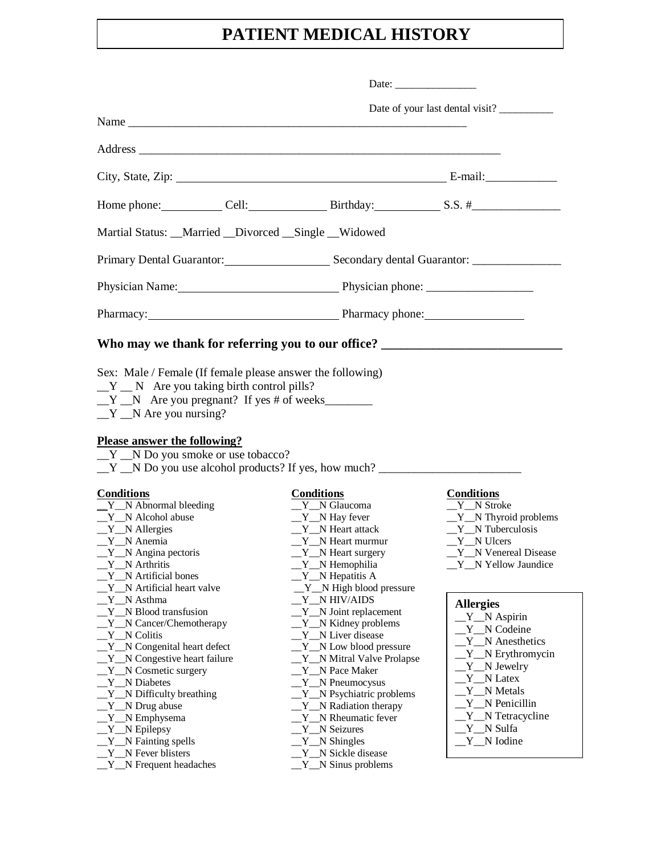## **PATIENT MEDICAL HISTORY**

|                                                                                                                                                                                                                                                                                                                                                            | Date: $\qquad \qquad$                                                                                                                                                                                                                                                                                                                               |                                                                                                                                                                                                      |
|------------------------------------------------------------------------------------------------------------------------------------------------------------------------------------------------------------------------------------------------------------------------------------------------------------------------------------------------------------|-----------------------------------------------------------------------------------------------------------------------------------------------------------------------------------------------------------------------------------------------------------------------------------------------------------------------------------------------------|------------------------------------------------------------------------------------------------------------------------------------------------------------------------------------------------------|
|                                                                                                                                                                                                                                                                                                                                                            |                                                                                                                                                                                                                                                                                                                                                     |                                                                                                                                                                                                      |
|                                                                                                                                                                                                                                                                                                                                                            |                                                                                                                                                                                                                                                                                                                                                     |                                                                                                                                                                                                      |
|                                                                                                                                                                                                                                                                                                                                                            |                                                                                                                                                                                                                                                                                                                                                     |                                                                                                                                                                                                      |
|                                                                                                                                                                                                                                                                                                                                                            |                                                                                                                                                                                                                                                                                                                                                     |                                                                                                                                                                                                      |
| Home phone: Cell: Cell: Birthday: S.S. #                                                                                                                                                                                                                                                                                                                   |                                                                                                                                                                                                                                                                                                                                                     |                                                                                                                                                                                                      |
| Martial Status: __Married __Divorced __Single __Widowed                                                                                                                                                                                                                                                                                                    |                                                                                                                                                                                                                                                                                                                                                     |                                                                                                                                                                                                      |
|                                                                                                                                                                                                                                                                                                                                                            | Primary Dental Guarantor: Secondary dental Guarantor: ___________________________                                                                                                                                                                                                                                                                   |                                                                                                                                                                                                      |
|                                                                                                                                                                                                                                                                                                                                                            |                                                                                                                                                                                                                                                                                                                                                     |                                                                                                                                                                                                      |
| Pharmacy: Pharmacy phone:                                                                                                                                                                                                                                                                                                                                  |                                                                                                                                                                                                                                                                                                                                                     |                                                                                                                                                                                                      |
| Who may we thank for referring you to our office? _______________________________                                                                                                                                                                                                                                                                          |                                                                                                                                                                                                                                                                                                                                                     |                                                                                                                                                                                                      |
| $Y$ N Are you taking birth control pills?<br>$Y_N$ Are you pregnant? If yes # of weeks<br>$Y_N$ N Are you nursing?<br><b>Please answer the following?</b><br>$Y$ N Do you smoke or use tobacco?<br>$Y_N$ N Do you use alcohol products? If yes, how much?                                                                                                  |                                                                                                                                                                                                                                                                                                                                                     |                                                                                                                                                                                                      |
| <b>Conditions</b><br>$Y_N$ Abnormal bleeding<br>_Y_N Alcohol abuse<br>$Y_N$ Allergies<br>$Y_N$ Anemia<br>$Y_N$ Angina pectoris<br>$Y_N$ Arthritis<br>$Y$ N Artificial bones<br>Y N Artificial heart valve                                                                                                                                                  | <b>Conditions</b><br>$Y_N$ Glaucoma<br>$Y_N$ Hay fever<br>$Y_N$ Heart attack<br>$Y$ N Heart murmur<br>_Y_N Heart surgery<br>_Y_N Hemophilia<br>$Y$ N Hepatitis A<br>$Y_N$ High blood pressure                                                                                                                                                       | <b>Conditions</b><br>Y N Stroke<br>$Y_N$ Thyroid problems<br>$Y_N$ Tuberculosis<br>Y N Ulcers<br>$Y_N$ Venereal Disease<br>_Y_N Yellow Jaundice                                                      |
| Y_N Asthma<br>Y N Blood transfusion<br>_Y__N Cancer/Chemotherapy<br>Y N Colitis<br>$Y_N$ Congenital heart defect<br>$Y$ N Congestive heart failure<br>Y_N Cosmetic surgery<br>Y N Diabetes<br>_Y_N Difficulty breathing<br>$Y_N$ Drug abuse<br>_Y__N Emphysema<br>Y_N Epilepsy<br>_Y__N Fainting spells<br>_Y_N Fever blisters<br>$Y_N$ Frequent headaches | Y_N HIV/AIDS<br>Y_N Joint replacement<br>$Y_N$ Kidney problems<br>Y N Liver disease<br>$Y_N$ Low blood pressure<br>_Y__N Mitral Valve Prolapse<br>Y N Pace Maker<br>$Y_N$ Pneumocysus<br>_Y__N Psychiatric problems<br>$Y_N$ Radiation therapy<br>Y N Rheumatic fever<br>Y N Seizures<br>Y_N Shingles<br>Y_N Sickle disease<br>$Y_N$ Sinus problems | <b>Allergies</b><br>$Y_N$ Aspirin<br>Y N Codeine<br>Y N Anesthetics<br>Y_N Erythromycin<br>Y_N Jewelry<br>Y N Latex<br>Y N Metals<br>Y N Penicillin<br>Y_N Tetracycline<br>Y N Sulfa<br>$Y_N$ Iodine |